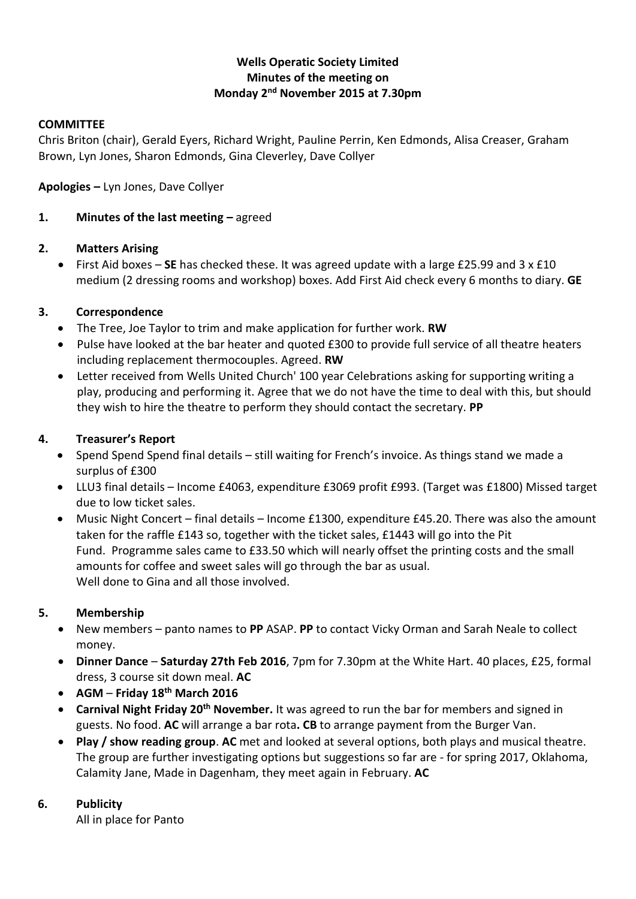# **Wells Operatic Society Limited Minutes of the meeting on Monday 2 nd November 2015 at 7.30pm**

#### **COMMITTEE**

Chris Briton (chair), Gerald Eyers, Richard Wright, Pauline Perrin, Ken Edmonds, Alisa Creaser, Graham Brown, Lyn Jones, Sharon Edmonds, Gina Cleverley, Dave Collyer

**Apologies –** Lyn Jones, Dave Collyer

# **1. Minutes of the last meeting –** agreed

#### **2. Matters Arising**

 First Aid boxes – **SE** has checked these. It was agreed update with a large £25.99 and 3 x £10 medium (2 dressing rooms and workshop) boxes. Add First Aid check every 6 months to diary. **GE**

# **3. Correspondence**

- The Tree, Joe Taylor to trim and make application for further work. **RW**
- Pulse have looked at the bar heater and quoted £300 to provide full service of all theatre heaters including replacement thermocouples. Agreed. **RW**
- Letter received from Wells United Church' 100 year Celebrations asking for supporting writing a play, producing and performing it. Agree that we do not have the time to deal with this, but should they wish to hire the theatre to perform they should contact the secretary. **PP**

# **4. Treasurer's Report**

- Spend Spend Spend final details still waiting for French's invoice. As things stand we made a surplus of £300
- LLU3 final details Income £4063, expenditure £3069 profit £993. (Target was £1800) Missed target due to low ticket sales.
- Music Night Concert final details Income £1300, expenditure £45.20. There was also the amount taken for the raffle £143 so, together with the ticket sales, £1443 will go into the Pit Fund. Programme sales came to £33.50 which will nearly offset the printing costs and the small amounts for coffee and sweet sales will go through the bar as usual. Well done to Gina and all those involved.

#### **5. Membership**

- New members panto names to **PP** ASAP. **PP** to contact Vicky Orman and Sarah Neale to collect money.
- **Dinner Dance Saturday 27th Feb 2016**, 7pm for 7.30pm at the White Hart. 40 places, £25, formal dress, 3 course sit down meal. **AC**
- **AGM Friday 18th March 2016**
- **Carnival Night Friday 20th November.** It was agreed to run the bar for members and signed in guests. No food. **AC** will arrange a bar rota**. CB** to arrange payment from the Burger Van.
- **Play / show reading group**. **AC** met and looked at several options, both plays and musical theatre. The group are further investigating options but suggestions so far are - for spring 2017, Oklahoma, Calamity Jane, Made in Dagenham, they meet again in February. **AC**

#### **6. Publicity**

All in place for Panto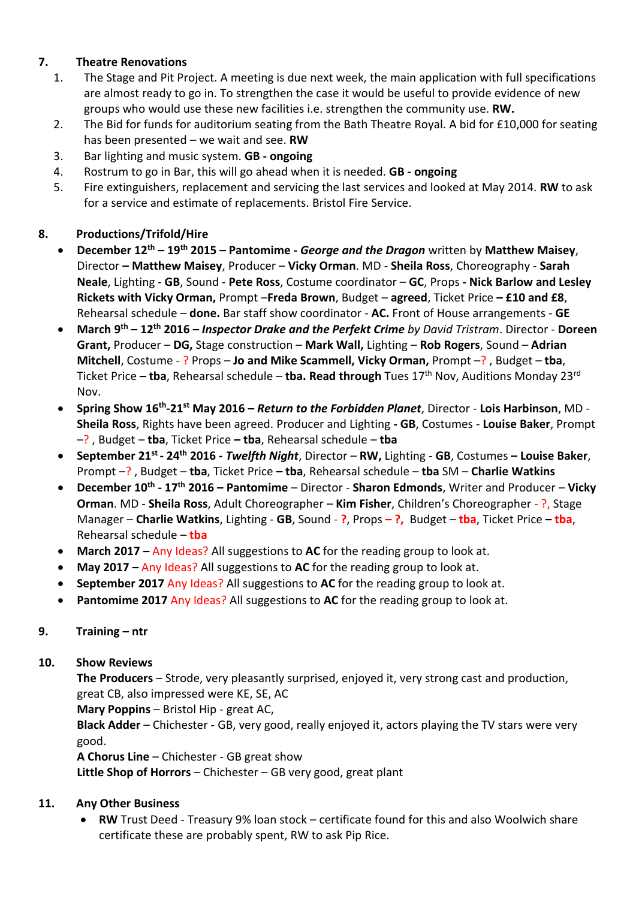# **7. Theatre Renovations**

- 1. The Stage and Pit Project. A meeting is due next week, the main application with full specifications are almost ready to go in. To strengthen the case it would be useful to provide evidence of new groups who would use these new facilities i.e. strengthen the community use. **RW.**
- 2. The Bid for funds for auditorium seating from the Bath Theatre Royal. A bid for £10,000 for seating has been presented – we wait and see. **RW**
- 3. Bar lighting and music system. **GB - ongoing**
- 4. Rostrum to go in Bar, this will go ahead when it is needed. **GB - ongoing**
- 5. Fire extinguishers, replacement and servicing the last services and looked at May 2014. **RW** to ask for a service and estimate of replacements. Bristol Fire Service.

# **8. Productions/Trifold/Hire**

- **December 12th – 19th 2015 – Pantomime -** *George and the Dragon* written by **Matthew Maisey**, Director **– Matthew Maisey**, Producer – **Vicky Orman**. MD - **Sheila Ross**, Choreography - **Sarah Neale**, Lighting - **GB**, Sound - **Pete Ross**, Costume coordinator – **GC**, Props **- Nick Barlow and Lesley Rickets with Vicky Orman,** Prompt –**Freda Brown**, Budget – **agreed**, Ticket Price **– £10 and £8**, Rehearsal schedule – **done.** Bar staff show coordinator - **AC.** Front of House arrangements - **GE**
- **March 9 th – 12th 2016 –** *Inspector Drake and the Perfekt Crime by David Tristram*. Director **Doreen Grant,** Producer – **DG,** Stage construction – **Mark Wall,** Lighting – **Rob Rogers**, Sound – **Adrian Mitchell**, Costume - ? Props – **Jo and Mike Scammell, Vicky Orman,** Prompt –? , Budget – **tba**, Ticket Price **– tba**, Rehearsal schedule – **tba. Read through** Tues 17th Nov, Auditions Monday 23rd Nov.
- **Spring Show 16th -21st May 2016 –** *Return to the Forbidden Planet*, Director **Lois Harbinson**, MD **Sheila Ross**, Rights have been agreed. Producer and Lighting **- GB**, Costumes - **Louise Baker**, Prompt –? , Budget – **tba**, Ticket Price **– tba**, Rehearsal schedule – **tba**
- **September 21st - 24th 2016 -** *Twelfth Night*, Director **RW,** Lighting **GB**, Costumes **– Louise Baker**, Prompt –? , Budget – **tba**, Ticket Price **– tba**, Rehearsal schedule – **tba** SM – **Charlie Watkins**
- **December 10th - 17th 2016 – Pantomime**  Director **Sharon Edmonds**, Writer and Producer **Vicky Orman**. MD - **Sheila Ross**, Adult Choreographer – **Kim Fisher**, Children's Choreographer - ?, Stage Manager – **Charlie Watkins**, Lighting - **GB**, Sound - **?**, Props **– ?,** Budget – **tba**, Ticket Price **– tba**, Rehearsal schedule – **tba**
- **March 2017 –** Any Ideas? All suggestions to **AC** for the reading group to look at.
- **May 2017 –** Any Ideas? All suggestions to **AC** for the reading group to look at.
- **September 2017** Any Ideas? All suggestions to **AC** for the reading group to look at.
- **Pantomime 2017** Any Ideas? All suggestions to **AC** for the reading group to look at.

# **9. Training – ntr**

#### **10. Show Reviews**

**The Producers** – Strode, very pleasantly surprised, enjoyed it, very strong cast and production, great CB, also impressed were KE, SE, AC

**Mary Poppins** – Bristol Hip - great AC,

**Black Adder** – Chichester - GB, very good, really enjoyed it, actors playing the TV stars were very good.

**A Chorus Line** – Chichester - GB great show

**Little Shop of Horrors** – Chichester – GB very good, great plant

#### **11. Any Other Business**

 **RW** Trust Deed - Treasury 9% loan stock – certificate found for this and also Woolwich share certificate these are probably spent, RW to ask Pip Rice.